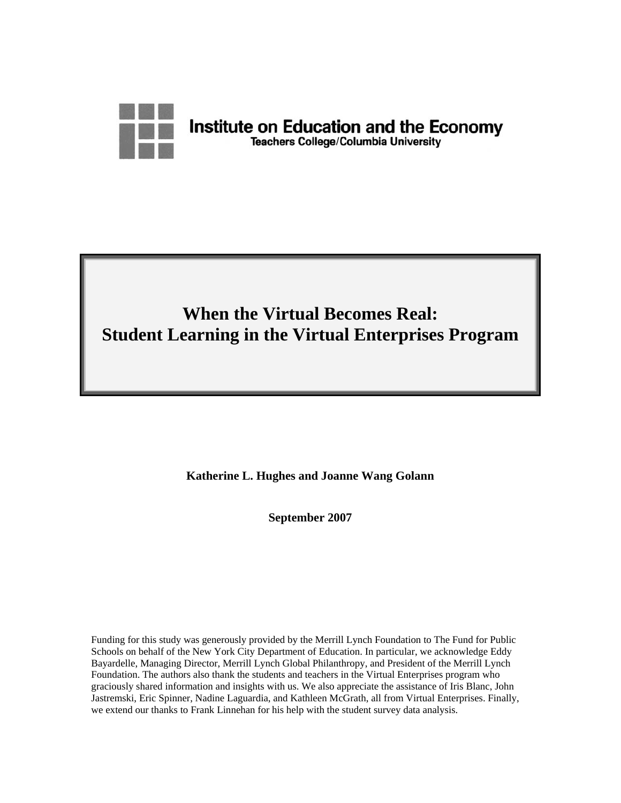

# **When the Virtual Becomes Real: Student Learning in the Virtual Enterprises Program**

**Katherine L. Hughes and Joanne Wang Golann** 

**September 2007** 

Funding for this study was generously provided by the Merrill Lynch Foundation to The Fund for Public Schools on behalf of the New York City Department of Education. In particular, we acknowledge Eddy Bayardelle, Managing Director, Merrill Lynch Global Philanthropy, and President of the Merrill Lynch Foundation. The authors also thank the students and teachers in the Virtual Enterprises program who graciously shared information and insights with us. We also appreciate the assistance of Iris Blanc, John Jastremski, Eric Spinner, Nadine Laguardia, and Kathleen McGrath, all from Virtual Enterprises. Finally, we extend our thanks to Frank Linnehan for his help with the student survey data analysis.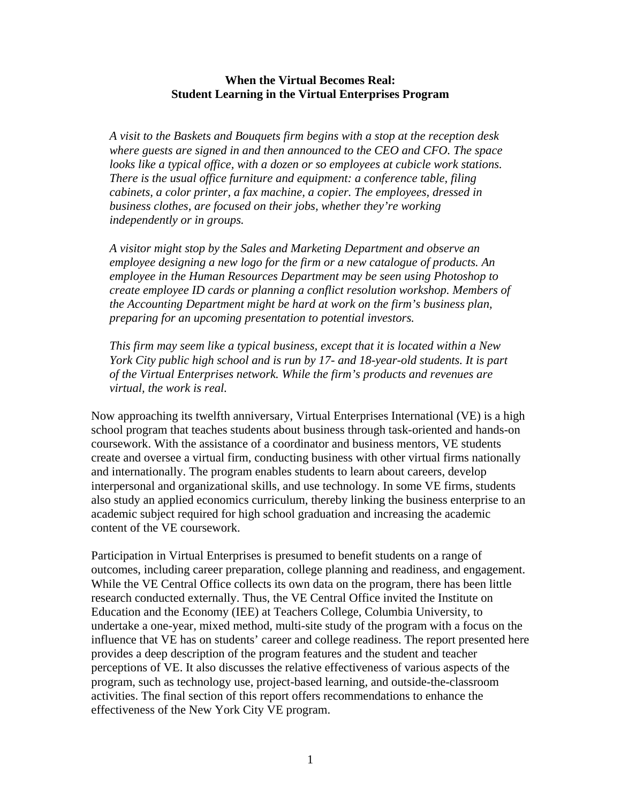## **When the Virtual Becomes Real: Student Learning in the Virtual Enterprises Program**

*A visit to the Baskets and Bouquets firm begins with a stop at the reception desk where guests are signed in and then announced to the CEO and CFO. The space looks like a typical office, with a dozen or so employees at cubicle work stations. There is the usual office furniture and equipment: a conference table, filing cabinets, a color printer, a fax machine, a copier. The employees, dressed in business clothes, are focused on their jobs, whether they're working independently or in groups.* 

*A visitor might stop by the Sales and Marketing Department and observe an employee designing a new logo for the firm or a new catalogue of products. An employee in the Human Resources Department may be seen using Photoshop to create employee ID cards or planning a conflict resolution workshop. Members of the Accounting Department might be hard at work on the firm's business plan, preparing for an upcoming presentation to potential investors.* 

*This firm may seem like a typical business, except that it is located within a New York City public high school and is run by 17- and 18-year-old students. It is part of the Virtual Enterprises network. While the firm's products and revenues are virtual, the work is real.* 

Now approaching its twelfth anniversary, Virtual Enterprises International (VE) is a high school program that teaches students about business through task-oriented and hands-on coursework. With the assistance of a coordinator and business mentors, VE students create and oversee a virtual firm, conducting business with other virtual firms nationally and internationally. The program enables students to learn about careers, develop interpersonal and organizational skills, and use technology. In some VE firms, students also study an applied economics curriculum, thereby linking the business enterprise to an academic subject required for high school graduation and increasing the academic content of the VE coursework.

Participation in Virtual Enterprises is presumed to benefit students on a range of outcomes, including career preparation, college planning and readiness, and engagement. While the VE Central Office collects its own data on the program, there has been little research conducted externally. Thus, the VE Central Office invited the Institute on Education and the Economy (IEE) at Teachers College, Columbia University, to undertake a one-year, mixed method, multi-site study of the program with a focus on the influence that VE has on students' career and college readiness. The report presented here provides a deep description of the program features and the student and teacher perceptions of VE. It also discusses the relative effectiveness of various aspects of the program, such as technology use, project-based learning, and outside-the-classroom activities. The final section of this report offers recommendations to enhance the effectiveness of the New York City VE program.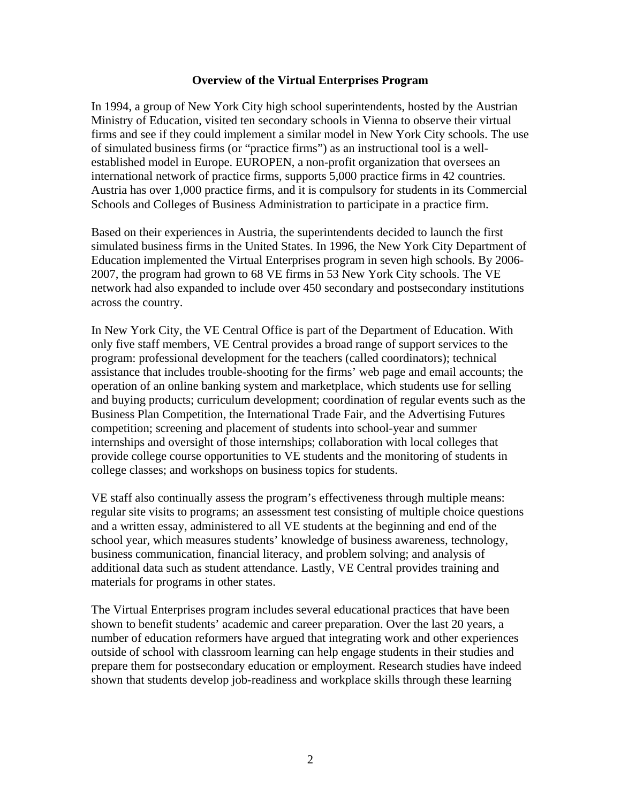## **Overview of the Virtual Enterprises Program**

In 1994, a group of New York City high school superintendents, hosted by the Austrian Ministry of Education, visited ten secondary schools in Vienna to observe their virtual firms and see if they could implement a similar model in New York City schools. The use of simulated business firms (or "practice firms") as an instructional tool is a wellestablished model in Europe. EUROPEN, a non-profit organization that oversees an international network of practice firms, supports 5,000 practice firms in 42 countries. Austria has over 1,000 practice firms, and it is compulsory for students in its Commercial Schools and Colleges of Business Administration to participate in a practice firm.

Based on their experiences in Austria, the superintendents decided to launch the first simulated business firms in the United States. In 1996, the New York City Department of Education implemented the Virtual Enterprises program in seven high schools. By 2006- 2007, the program had grown to 68 VE firms in 53 New York City schools. The VE network had also expanded to include over 450 secondary and postsecondary institutions across the country.

In New York City, the VE Central Office is part of the Department of Education. With only five staff members, VE Central provides a broad range of support services to the program: professional development for the teachers (called coordinators); technical assistance that includes trouble-shooting for the firms' web page and email accounts; the operation of an online banking system and marketplace, which students use for selling and buying products; curriculum development; coordination of regular events such as the Business Plan Competition, the International Trade Fair, and the Advertising Futures competition; screening and placement of students into school-year and summer internships and oversight of those internships; collaboration with local colleges that provide college course opportunities to VE students and the monitoring of students in college classes; and workshops on business topics for students.

VE staff also continually assess the program's effectiveness through multiple means: regular site visits to programs; an assessment test consisting of multiple choice questions and a written essay, administered to all VE students at the beginning and end of the school year, which measures students' knowledge of business awareness, technology, business communication, financial literacy, and problem solving; and analysis of additional data such as student attendance. Lastly, VE Central provides training and materials for programs in other states.

The Virtual Enterprises program includes several educational practices that have been shown to benefit students' academic and career preparation. Over the last 20 years, a number of education reformers have argued that integrating work and other experiences outside of school with classroom learning can help engage students in their studies and prepare them for postsecondary education or employment. Research studies have indeed shown that students develop job-readiness and workplace skills through these learning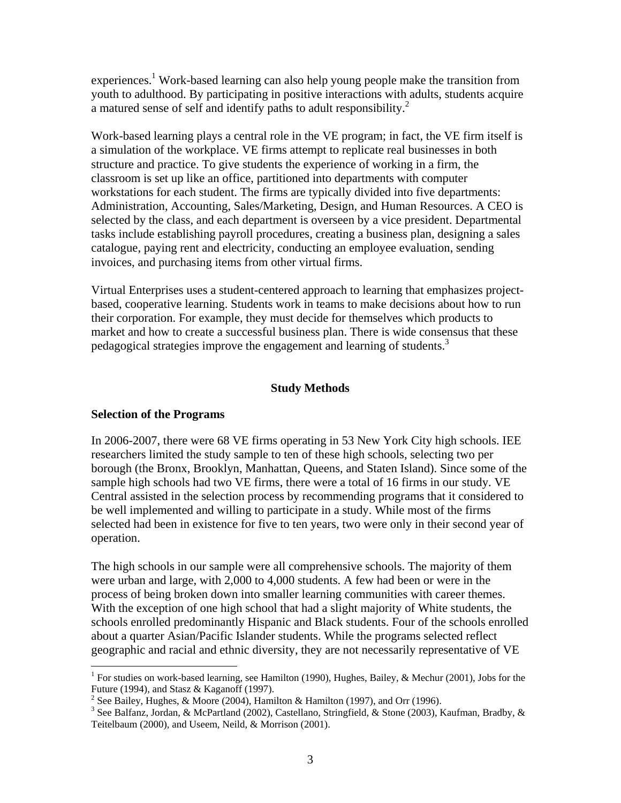experiences.<sup>1</sup> Work-based learning can also help young people make the transition from youth to adulthood. By participating in positive interactions with adults, students acquire a matured sense of self and identify paths to adult responsibility.<sup>2</sup>

Work-based learning plays a central role in the VE program; in fact, the VE firm itself is a simulation of the workplace. VE firms attempt to replicate real businesses in both structure and practice. To give students the experience of working in a firm, the classroom is set up like an office, partitioned into departments with computer workstations for each student. The firms are typically divided into five departments: Administration, Accounting, Sales/Marketing, Design, and Human Resources. A CEO is selected by the class, and each department is overseen by a vice president. Departmental tasks include establishing payroll procedures, creating a business plan, designing a sales catalogue, paying rent and electricity, conducting an employee evaluation, sending invoices, and purchasing items from other virtual firms.

Virtual Enterprises uses a student-centered approach to learning that emphasizes projectbased, cooperative learning. Students work in teams to make decisions about how to run their corporation. For example, they must decide for themselves which products to market and how to create a successful business plan. There is wide consensus that these pedagogical strategies improve the engagement and learning of students.<sup>3</sup>

## **Study Methods**

## **Selection of the Programs**

In 2006-2007, there were 68 VE firms operating in 53 New York City high schools. IEE researchers limited the study sample to ten of these high schools, selecting two per borough (the Bronx, Brooklyn, Manhattan, Queens, and Staten Island). Since some of the sample high schools had two VE firms, there were a total of 16 firms in our study. VE Central assisted in the selection process by recommending programs that it considered to be well implemented and willing to participate in a study. While most of the firms selected had been in existence for five to ten years, two were only in their second year of operation.

The high schools in our sample were all comprehensive schools. The majority of them were urban and large, with 2,000 to 4,000 students. A few had been or were in the process of being broken down into smaller learning communities with career themes. With the exception of one high school that had a slight majority of White students, the schools enrolled predominantly Hispanic and Black students. Four of the schools enrolled about a quarter Asian/Pacific Islander students. While the programs selected reflect geographic and racial and ethnic diversity, they are not necessarily representative of VE

<sup>&</sup>lt;sup>1</sup> For studies on work-based learning, see Hamilton (1990), Hughes, Bailey, & Mechur (2001), Jobs for the Future (1994), and Stasz & Kaganoff (1997).

<sup>&</sup>lt;sup>2</sup> See Bailey, Hughes, & Moore (2004), Hamilton & Hamilton (1997), and Orr (1996).

<sup>&</sup>lt;sup>3</sup> See Balfanz, Jordan, & McPartland (2002), Castellano, Stringfield, & Stone (2003), Kaufman, Bradby, & Teitelbaum (2000), and Useem, Neild, & Morrison (2001).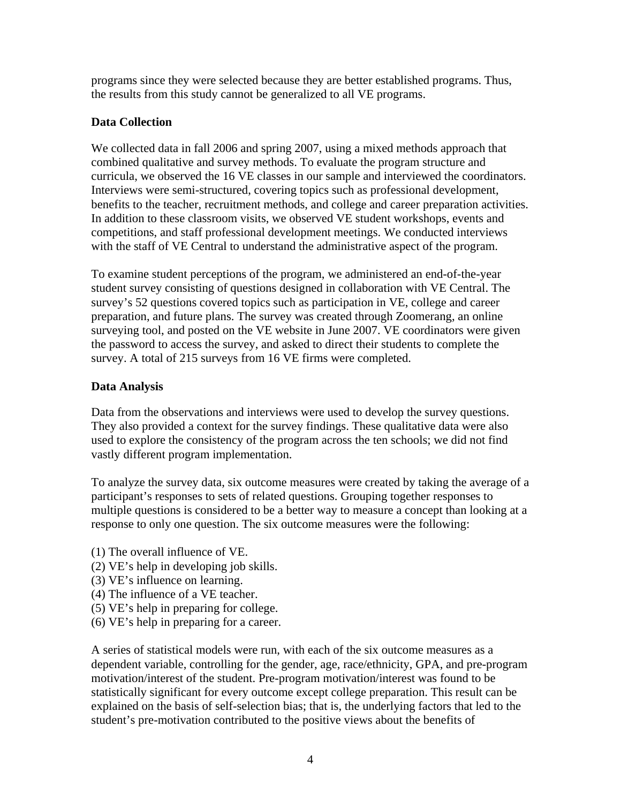programs since they were selected because they are better established programs. Thus, the results from this study cannot be generalized to all VE programs.

# **Data Collection**

We collected data in fall 2006 and spring 2007, using a mixed methods approach that combined qualitative and survey methods. To evaluate the program structure and curricula, we observed the 16 VE classes in our sample and interviewed the coordinators. Interviews were semi-structured, covering topics such as professional development, benefits to the teacher, recruitment methods, and college and career preparation activities. In addition to these classroom visits, we observed VE student workshops, events and competitions, and staff professional development meetings. We conducted interviews with the staff of VE Central to understand the administrative aspect of the program.

To examine student perceptions of the program, we administered an end-of-the-year student survey consisting of questions designed in collaboration with VE Central. The survey's 52 questions covered topics such as participation in VE, college and career preparation, and future plans. The survey was created through Zoomerang, an online surveying tool, and posted on the VE website in June 2007. VE coordinators were given the password to access the survey, and asked to direct their students to complete the survey. A total of 215 surveys from 16 VE firms were completed.

# **Data Analysis**

Data from the observations and interviews were used to develop the survey questions. They also provided a context for the survey findings. These qualitative data were also used to explore the consistency of the program across the ten schools; we did not find vastly different program implementation.

To analyze the survey data, six outcome measures were created by taking the average of a participant's responses to sets of related questions. Grouping together responses to multiple questions is considered to be a better way to measure a concept than looking at a response to only one question. The six outcome measures were the following:

- (1) The overall influence of VE.
- (2) VE's help in developing job skills.
- (3) VE's influence on learning.
- (4) The influence of a VE teacher.
- (5) VE's help in preparing for college.
- (6) VE's help in preparing for a career.

A series of statistical models were run, with each of the six outcome measures as a dependent variable, controlling for the gender, age, race/ethnicity, GPA, and pre-program motivation/interest of the student. Pre-program motivation/interest was found to be statistically significant for every outcome except college preparation. This result can be explained on the basis of self-selection bias; that is, the underlying factors that led to the student's pre-motivation contributed to the positive views about the benefits of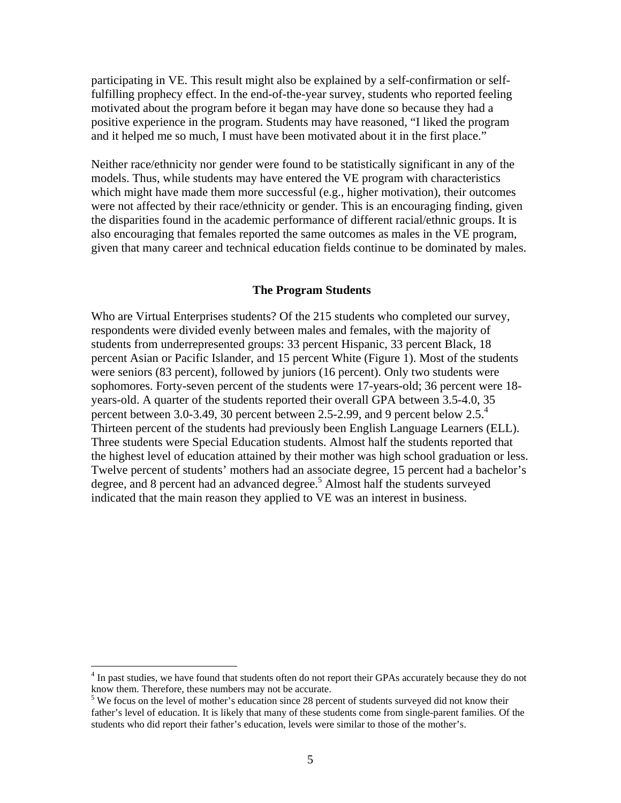participating in VE. This result might also be explained by a self-confirmation or selffulfilling prophecy effect. In the end-of-the-year survey, students who reported feeling motivated about the program before it began may have done so because they had a positive experience in the program. Students may have reasoned, "I liked the program and it helped me so much, I must have been motivated about it in the first place."

Neither race/ethnicity nor gender were found to be statistically significant in any of the models. Thus, while students may have entered the VE program with characteristics which might have made them more successful (e.g., higher motivation), their outcomes were not affected by their race/ethnicity or gender. This is an encouraging finding, given the disparities found in the academic performance of different racial/ethnic groups. It is also encouraging that females reported the same outcomes as males in the VE program, given that many career and technical education fields continue to be dominated by males.

#### **The Program Students**

Who are Virtual Enterprises students? Of the 215 students who completed our survey, respondents were divided evenly between males and females, with the majority of students from underrepresented groups: 33 percent Hispanic, 33 percent Black, 18 percent Asian or Pacific Islander, and 15 percent White (Figure 1). Most of the students were seniors (83 percent), followed by juniors (16 percent). Only two students were sophomores. Forty-seven percent of the students were 17-years-old; 36 percent were 18 years-old. A quarter of the students reported their overall GPA between 3.5-4.0, 35 percent between 3.0-3.49, 30 percent between 2.5-2.99, and 9 percent below  $2.5<sup>4</sup>$ Thirteen percent of the students had previously been English Language Learners (ELL). Three students were Special Education students. Almost half the students reported that the highest level of education attained by their mother was high school graduation or less. Twelve percent of students' mothers had an associate degree, 15 percent had a bachelor's degree, and 8 percent had an advanced degree.<sup>5</sup> Almost half the students surveyed indicated that the main reason they applied to VE was an interest in business.

 $\overline{a}$ 

<sup>&</sup>lt;sup>4</sup> In past studies, we have found that students often do not report their GPAs accurately because they do not know them. Therefore, these numbers may not be accurate.

<sup>&</sup>lt;sup>5</sup> We focus on the level of mother's education since 28 percent of students surveyed did not know their father's level of education. It is likely that many of these students come from single-parent families. Of the students who did report their father's education, levels were similar to those of the mother's.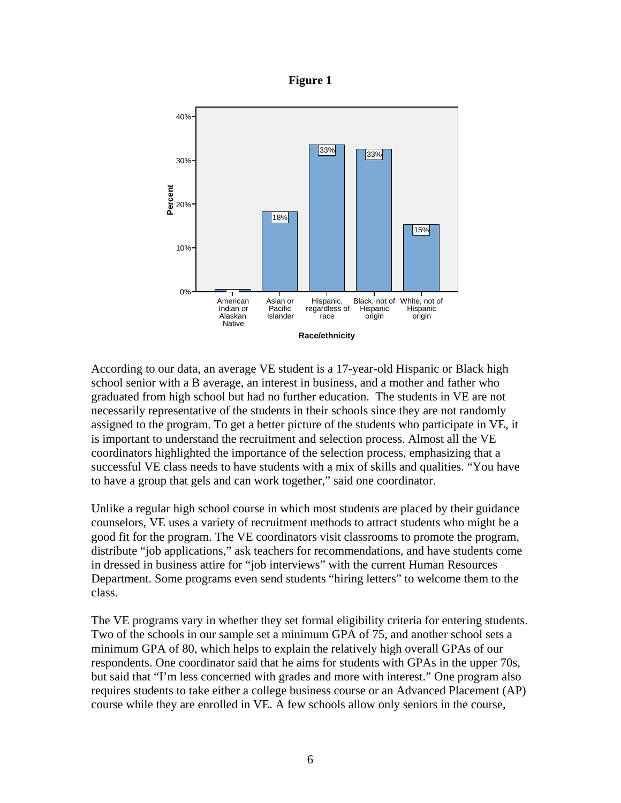



According to our data, an average VE student is a 17-year-old Hispanic or Black high school senior with a B average, an interest in business, and a mother and father who graduated from high school but had no further education. The students in VE are not necessarily representative of the students in their schools since they are not randomly assigned to the program. To get a better picture of the students who participate in VE, it is important to understand the recruitment and selection process. Almost all the VE coordinators highlighted the importance of the selection process, emphasizing that a successful VE class needs to have students with a mix of skills and qualities. "You have to have a group that gels and can work together," said one coordinator.

Unlike a regular high school course in which most students are placed by their guidance counselors, VE uses a variety of recruitment methods to attract students who might be a good fit for the program. The VE coordinators visit classrooms to promote the program, distribute "job applications," ask teachers for recommendations, and have students come in dressed in business attire for "job interviews" with the current Human Resources Department. Some programs even send students "hiring letters" to welcome them to the class.

The VE programs vary in whether they set formal eligibility criteria for entering students. Two of the schools in our sample set a minimum GPA of 75, and another school sets a minimum GPA of 80, which helps to explain the relatively high overall GPAs of our respondents. One coordinator said that he aims for students with GPAs in the upper 70s, but said that "I'm less concerned with grades and more with interest." One program also requires students to take either a college business course or an Advanced Placement (AP) course while they are enrolled in VE. A few schools allow only seniors in the course,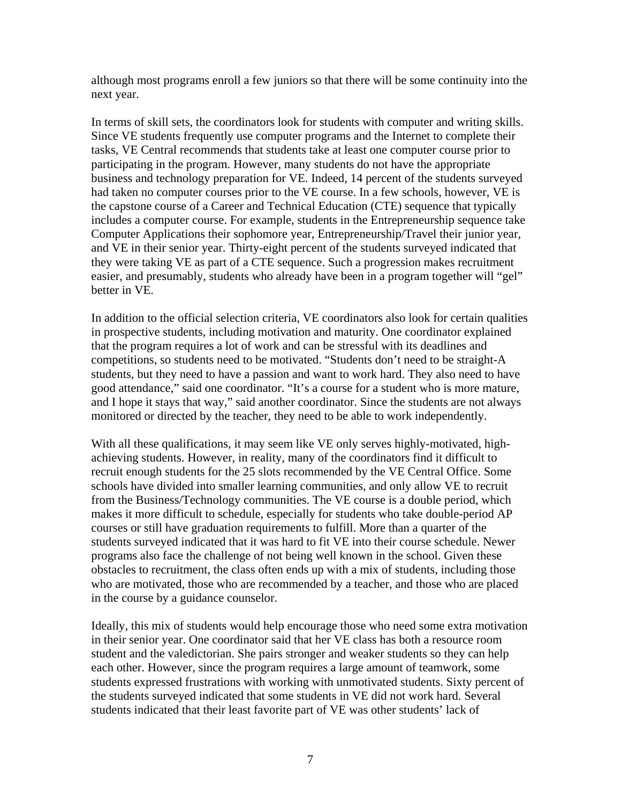although most programs enroll a few juniors so that there will be some continuity into the next year.

In terms of skill sets, the coordinators look for students with computer and writing skills. Since VE students frequently use computer programs and the Internet to complete their tasks, VE Central recommends that students take at least one computer course prior to participating in the program. However, many students do not have the appropriate business and technology preparation for VE. Indeed, 14 percent of the students surveyed had taken no computer courses prior to the VE course. In a few schools, however, VE is the capstone course of a Career and Technical Education (CTE) sequence that typically includes a computer course. For example, students in the Entrepreneurship sequence take Computer Applications their sophomore year, Entrepreneurship/Travel their junior year, and VE in their senior year. Thirty-eight percent of the students surveyed indicated that they were taking VE as part of a CTE sequence. Such a progression makes recruitment easier, and presumably, students who already have been in a program together will "gel" better in VE.

In addition to the official selection criteria, VE coordinators also look for certain qualities in prospective students, including motivation and maturity. One coordinator explained that the program requires a lot of work and can be stressful with its deadlines and competitions, so students need to be motivated. "Students don't need to be straight-A students, but they need to have a passion and want to work hard. They also need to have good attendance," said one coordinator. "It's a course for a student who is more mature, and I hope it stays that way," said another coordinator. Since the students are not always monitored or directed by the teacher, they need to be able to work independently.

With all these qualifications, it may seem like VE only serves highly-motivated, highachieving students. However, in reality, many of the coordinators find it difficult to recruit enough students for the 25 slots recommended by the VE Central Office. Some schools have divided into smaller learning communities, and only allow VE to recruit from the Business/Technology communities. The VE course is a double period, which makes it more difficult to schedule, especially for students who take double-period AP courses or still have graduation requirements to fulfill. More than a quarter of the students surveyed indicated that it was hard to fit VE into their course schedule. Newer programs also face the challenge of not being well known in the school. Given these obstacles to recruitment, the class often ends up with a mix of students, including those who are motivated, those who are recommended by a teacher, and those who are placed in the course by a guidance counselor.

Ideally, this mix of students would help encourage those who need some extra motivation in their senior year. One coordinator said that her VE class has both a resource room student and the valedictorian. She pairs stronger and weaker students so they can help each other. However, since the program requires a large amount of teamwork, some students expressed frustrations with working with unmotivated students. Sixty percent of the students surveyed indicated that some students in VE did not work hard. Several students indicated that their least favorite part of VE was other students' lack of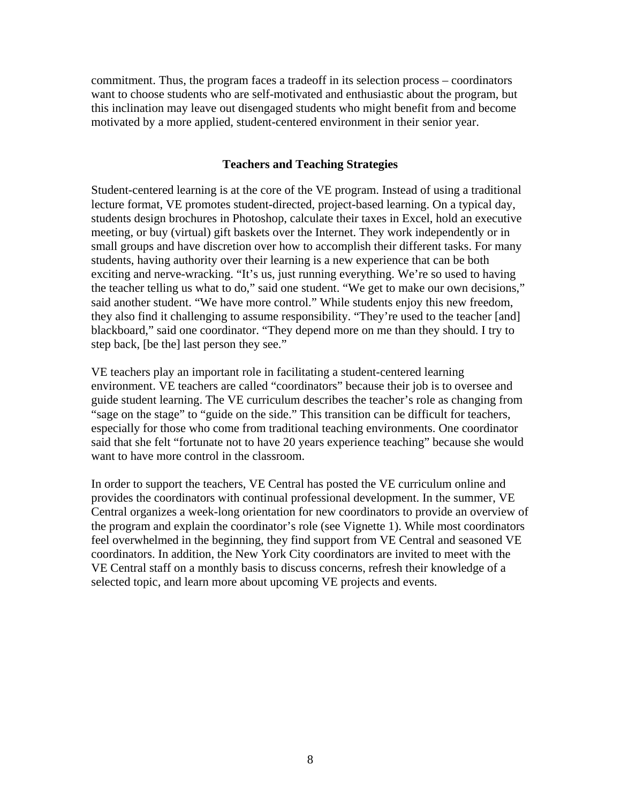commitment. Thus, the program faces a tradeoff in its selection process – coordinators want to choose students who are self-motivated and enthusiastic about the program, but this inclination may leave out disengaged students who might benefit from and become motivated by a more applied, student-centered environment in their senior year.

## **Teachers and Teaching Strategies**

Student-centered learning is at the core of the VE program. Instead of using a traditional lecture format, VE promotes student-directed, project-based learning. On a typical day, students design brochures in Photoshop, calculate their taxes in Excel, hold an executive meeting, or buy (virtual) gift baskets over the Internet. They work independently or in small groups and have discretion over how to accomplish their different tasks. For many students, having authority over their learning is a new experience that can be both exciting and nerve-wracking. "It's us, just running everything. We're so used to having the teacher telling us what to do," said one student. "We get to make our own decisions," said another student. "We have more control." While students enjoy this new freedom, they also find it challenging to assume responsibility. "They're used to the teacher [and] blackboard," said one coordinator. "They depend more on me than they should. I try to step back, [be the] last person they see."

VE teachers play an important role in facilitating a student-centered learning environment. VE teachers are called "coordinators" because their job is to oversee and guide student learning. The VE curriculum describes the teacher's role as changing from "sage on the stage" to "guide on the side." This transition can be difficult for teachers, especially for those who come from traditional teaching environments. One coordinator said that she felt "fortunate not to have 20 years experience teaching" because she would want to have more control in the classroom.

In order to support the teachers, VE Central has posted the VE curriculum online and provides the coordinators with continual professional development. In the summer, VE Central organizes a week-long orientation for new coordinators to provide an overview of the program and explain the coordinator's role (see Vignette 1). While most coordinators feel overwhelmed in the beginning, they find support from VE Central and seasoned VE coordinators. In addition, the New York City coordinators are invited to meet with the VE Central staff on a monthly basis to discuss concerns, refresh their knowledge of a selected topic, and learn more about upcoming VE projects and events.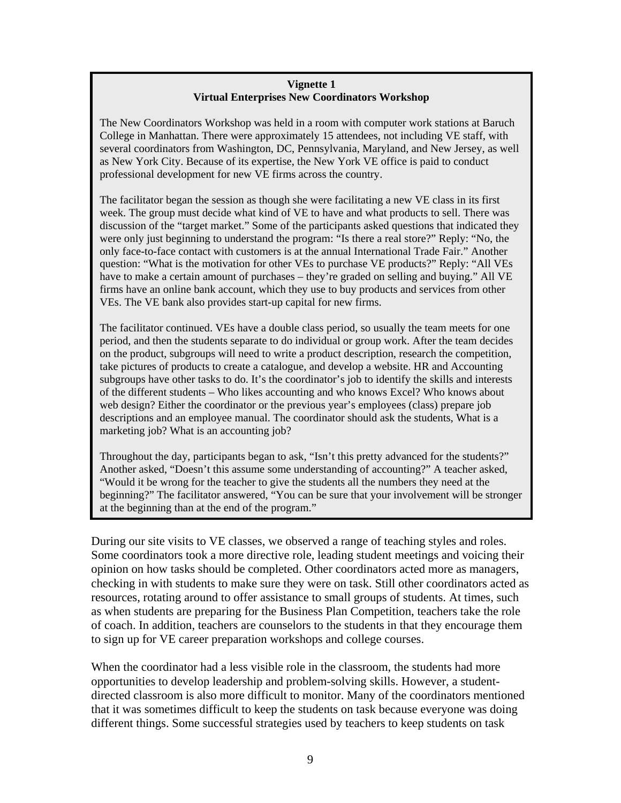## **Vignette 1 Virtual Enterprises New Coordinators Workshop**

The New Coordinators Workshop was held in a room with computer work stations at Baruch College in Manhattan. There were approximately 15 attendees, not including VE staff, with several coordinators from Washington, DC, Pennsylvania, Maryland, and New Jersey, as well as New York City. Because of its expertise, the New York VE office is paid to conduct professional development for new VE firms across the country.

The facilitator began the session as though she were facilitating a new VE class in its first week. The group must decide what kind of VE to have and what products to sell. There was discussion of the "target market." Some of the participants asked questions that indicated they were only just beginning to understand the program: "Is there a real store?" Reply: "No, the only face-to-face contact with customers is at the annual International Trade Fair." Another question: "What is the motivation for other VEs to purchase VE products?" Reply: "All VEs have to make a certain amount of purchases – they're graded on selling and buying." All VE firms have an online bank account, which they use to buy products and services from other VEs. The VE bank also provides start-up capital for new firms.

The facilitator continued. VEs have a double class period, so usually the team meets for one period, and then the students separate to do individual or group work. After the team decides on the product, subgroups will need to write a product description, research the competition, take pictures of products to create a catalogue, and develop a website. HR and Accounting subgroups have other tasks to do. It's the coordinator's job to identify the skills and interests of the different students – Who likes accounting and who knows Excel? Who knows about web design? Either the coordinator or the previous year's employees (class) prepare job descriptions and an employee manual. The coordinator should ask the students, What is a marketing job? What is an accounting job?

Throughout the day, participants began to ask, "Isn't this pretty advanced for the students?" Another asked, "Doesn't this assume some understanding of accounting?" A teacher asked, "Would it be wrong for the teacher to give the students all the numbers they need at the beginning?" The facilitator answered, "You can be sure that your involvement will be stronger at the beginning than at the end of the program."

During our site visits to VE classes, we observed a range of teaching styles and roles. Some coordinators took a more directive role, leading student meetings and voicing their opinion on how tasks should be completed. Other coordinators acted more as managers, checking in with students to make sure they were on task. Still other coordinators acted as resources, rotating around to offer assistance to small groups of students. At times, such as when students are preparing for the Business Plan Competition, teachers take the role of coach. In addition, teachers are counselors to the students in that they encourage them to sign up for VE career preparation workshops and college courses.

When the coordinator had a less visible role in the classroom, the students had more opportunities to develop leadership and problem-solving skills. However, a studentdirected classroom is also more difficult to monitor. Many of the coordinators mentioned that it was sometimes difficult to keep the students on task because everyone was doing different things. Some successful strategies used by teachers to keep students on task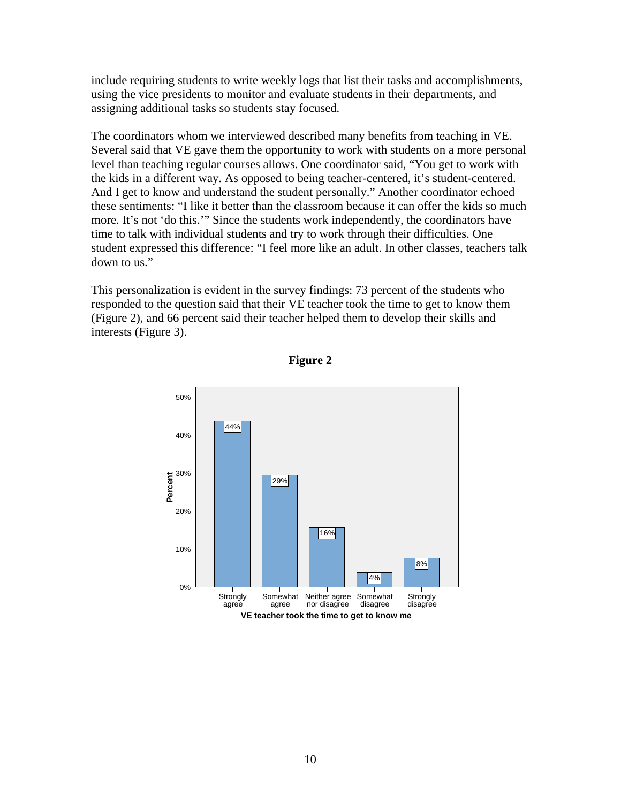include requiring students to write weekly logs that list their tasks and accomplishments, using the vice presidents to monitor and evaluate students in their departments, and assigning additional tasks so students stay focused.

The coordinators whom we interviewed described many benefits from teaching in VE. Several said that VE gave them the opportunity to work with students on a more personal level than teaching regular courses allows. One coordinator said, "You get to work with the kids in a different way. As opposed to being teacher-centered, it's student-centered. And I get to know and understand the student personally." Another coordinator echoed these sentiments: "I like it better than the classroom because it can offer the kids so much more. It's not 'do this.'" Since the students work independently, the coordinators have time to talk with individual students and try to work through their difficulties. One student expressed this difference: "I feel more like an adult. In other classes, teachers talk down to us."

This personalization is evident in the survey findings: 73 percent of the students who responded to the question said that their VE teacher took the time to get to know them (Figure 2), and 66 percent said their teacher helped them to develop their skills and interests (Figure 3).



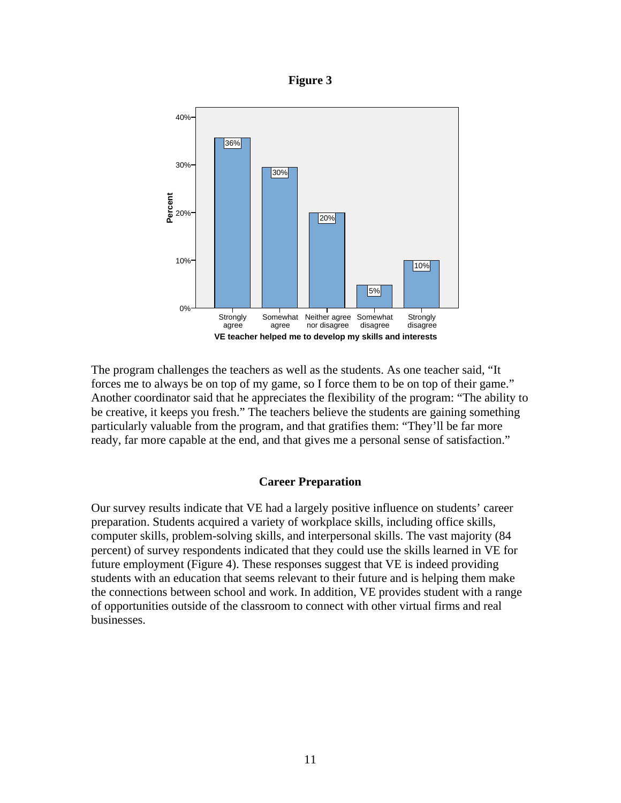



The program challenges the teachers as well as the students. As one teacher said, "It forces me to always be on top of my game, so I force them to be on top of their game." Another coordinator said that he appreciates the flexibility of the program: "The ability to be creative, it keeps you fresh." The teachers believe the students are gaining something particularly valuable from the program, and that gratifies them: "They'll be far more ready, far more capable at the end, and that gives me a personal sense of satisfaction."

## **Career Preparation**

Our survey results indicate that VE had a largely positive influence on students' career preparation. Students acquired a variety of workplace skills, including office skills, computer skills, problem-solving skills, and interpersonal skills. The vast majority (84 percent) of survey respondents indicated that they could use the skills learned in VE for future employment (Figure 4). These responses suggest that VE is indeed providing students with an education that seems relevant to their future and is helping them make the connections between school and work. In addition, VE provides student with a range of opportunities outside of the classroom to connect with other virtual firms and real businesses.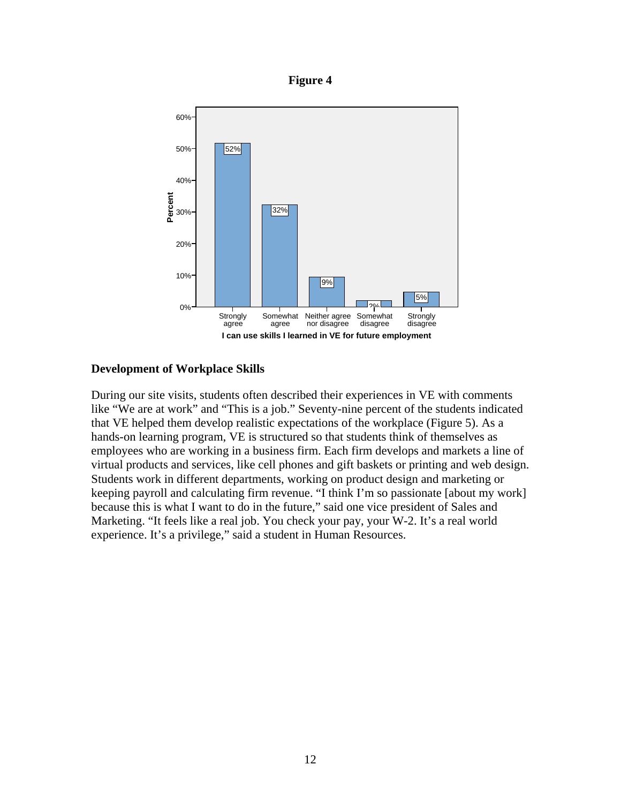



## **Development of Workplace Skills**

During our site visits, students often described their experiences in VE with comments like "We are at work" and "This is a job." Seventy-nine percent of the students indicated that VE helped them develop realistic expectations of the workplace (Figure 5). As a hands-on learning program, VE is structured so that students think of themselves as employees who are working in a business firm. Each firm develops and markets a line of virtual products and services, like cell phones and gift baskets or printing and web design. Students work in different departments, working on product design and marketing or keeping payroll and calculating firm revenue. "I think I'm so passionate [about my work] because this is what I want to do in the future," said one vice president of Sales and Marketing. "It feels like a real job. You check your pay, your W-2. It's a real world experience. It's a privilege," said a student in Human Resources.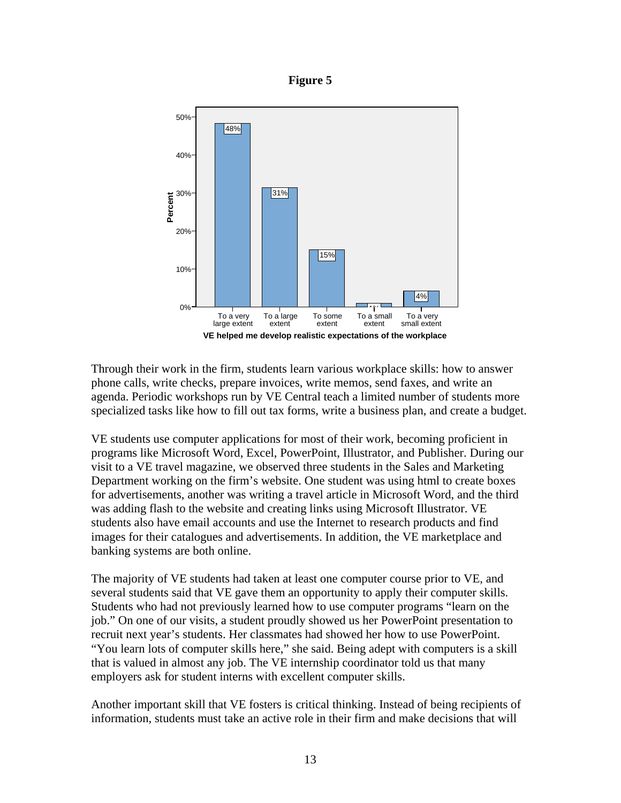



Through their work in the firm, students learn various workplace skills: how to answer phone calls, write checks, prepare invoices, write memos, send faxes, and write an agenda. Periodic workshops run by VE Central teach a limited number of students more specialized tasks like how to fill out tax forms, write a business plan, and create a budget.

VE students use computer applications for most of their work, becoming proficient in programs like Microsoft Word, Excel, PowerPoint, Illustrator, and Publisher. During our visit to a VE travel magazine, we observed three students in the Sales and Marketing Department working on the firm's website. One student was using html to create boxes for advertisements, another was writing a travel article in Microsoft Word, and the third was adding flash to the website and creating links using Microsoft Illustrator. VE students also have email accounts and use the Internet to research products and find images for their catalogues and advertisements. In addition, the VE marketplace and banking systems are both online.

The majority of VE students had taken at least one computer course prior to VE, and several students said that VE gave them an opportunity to apply their computer skills. Students who had not previously learned how to use computer programs "learn on the job." On one of our visits, a student proudly showed us her PowerPoint presentation to recruit next year's students. Her classmates had showed her how to use PowerPoint. "You learn lots of computer skills here," she said. Being adept with computers is a skill that is valued in almost any job. The VE internship coordinator told us that many employers ask for student interns with excellent computer skills.

Another important skill that VE fosters is critical thinking. Instead of being recipients of information, students must take an active role in their firm and make decisions that will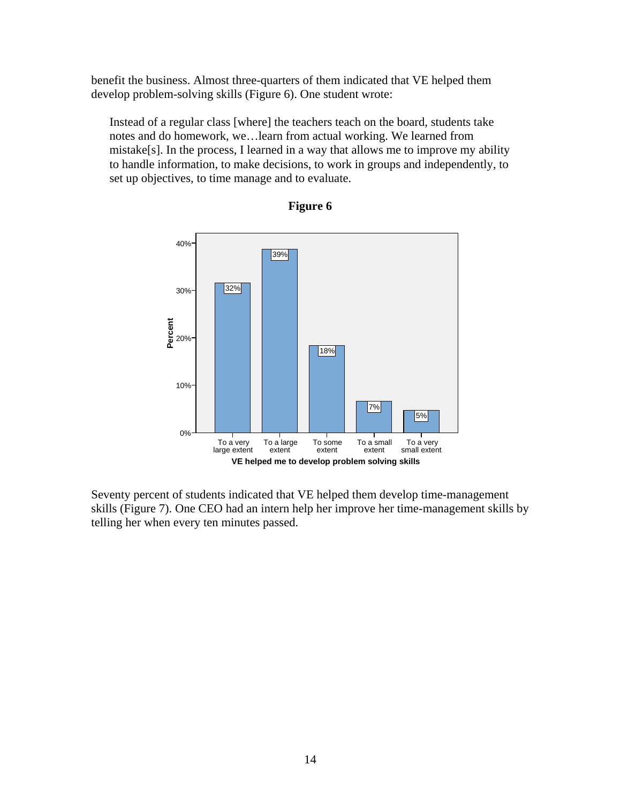benefit the business. Almost three-quarters of them indicated that VE helped them develop problem-solving skills (Figure 6). One student wrote:

Instead of a regular class [where] the teachers teach on the board, students take notes and do homework, we…learn from actual working. We learned from mistake[s]. In the process, I learned in a way that allows me to improve my ability to handle information, to make decisions, to work in groups and independently, to set up objectives, to time manage and to evaluate.



## **Figure 6**

Seventy percent of students indicated that VE helped them develop time-management skills (Figure 7). One CEO had an intern help her improve her time-management skills by telling her when every ten minutes passed.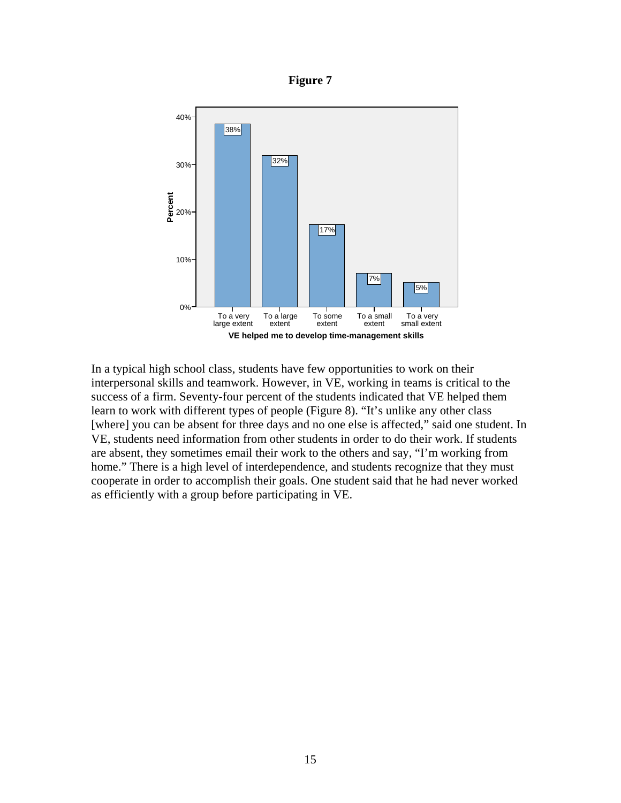



In a typical high school class, students have few opportunities to work on their interpersonal skills and teamwork. However, in VE, working in teams is critical to the success of a firm. Seventy-four percent of the students indicated that VE helped them learn to work with different types of people (Figure 8). "It's unlike any other class [where] you can be absent for three days and no one else is affected," said one student. In VE, students need information from other students in order to do their work. If students are absent, they sometimes email their work to the others and say, "I'm working from home." There is a high level of interdependence, and students recognize that they must cooperate in order to accomplish their goals. One student said that he had never worked as efficiently with a group before participating in VE.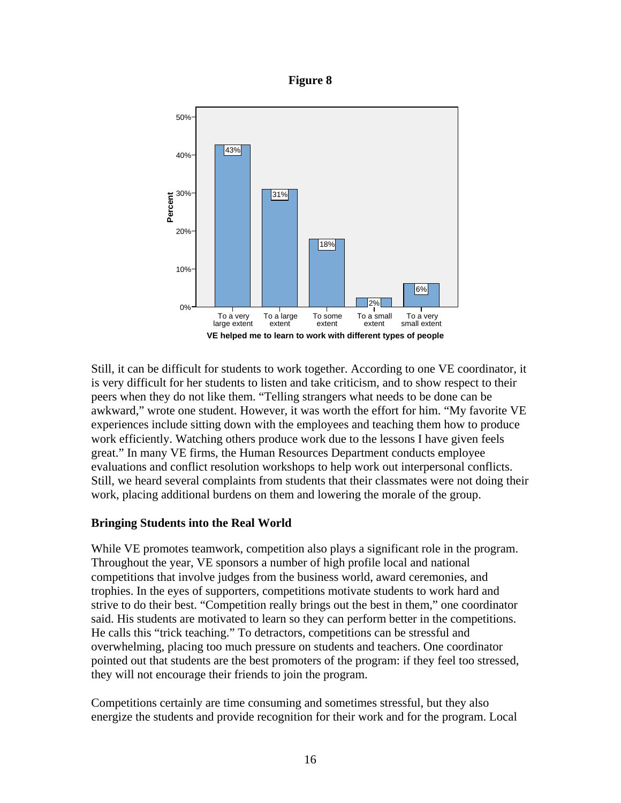



Still, it can be difficult for students to work together. According to one VE coordinator, it is very difficult for her students to listen and take criticism, and to show respect to their peers when they do not like them. "Telling strangers what needs to be done can be awkward," wrote one student. However, it was worth the effort for him. "My favorite VE experiences include sitting down with the employees and teaching them how to produce work efficiently. Watching others produce work due to the lessons I have given feels great." In many VE firms, the Human Resources Department conducts employee evaluations and conflict resolution workshops to help work out interpersonal conflicts. Still, we heard several complaints from students that their classmates were not doing their work, placing additional burdens on them and lowering the morale of the group.

## **Bringing Students into the Real World**

While VE promotes teamwork, competition also plays a significant role in the program. Throughout the year, VE sponsors a number of high profile local and national competitions that involve judges from the business world, award ceremonies, and trophies. In the eyes of supporters, competitions motivate students to work hard and strive to do their best. "Competition really brings out the best in them," one coordinator said. His students are motivated to learn so they can perform better in the competitions. He calls this "trick teaching." To detractors, competitions can be stressful and overwhelming, placing too much pressure on students and teachers. One coordinator pointed out that students are the best promoters of the program: if they feel too stressed, they will not encourage their friends to join the program.

Competitions certainly are time consuming and sometimes stressful, but they also energize the students and provide recognition for their work and for the program. Local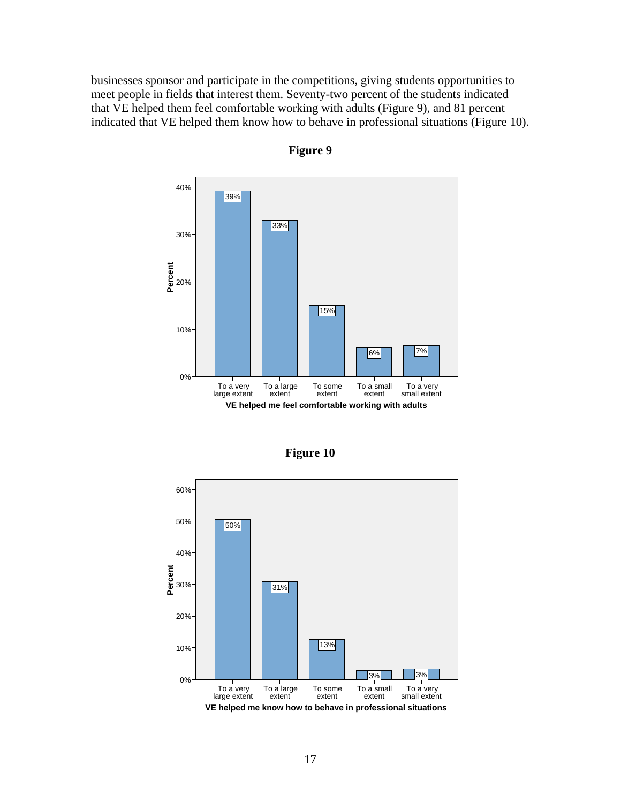businesses sponsor and participate in the competitions, giving students opportunities to meet people in fields that interest them. Seventy-two percent of the students indicated that VE helped them feel comfortable working with adults (Figure 9), and 81 percent indicated that VE helped them know how to behave in professional situations (Figure 10).



**Figure 9** 

**Figure 10** 

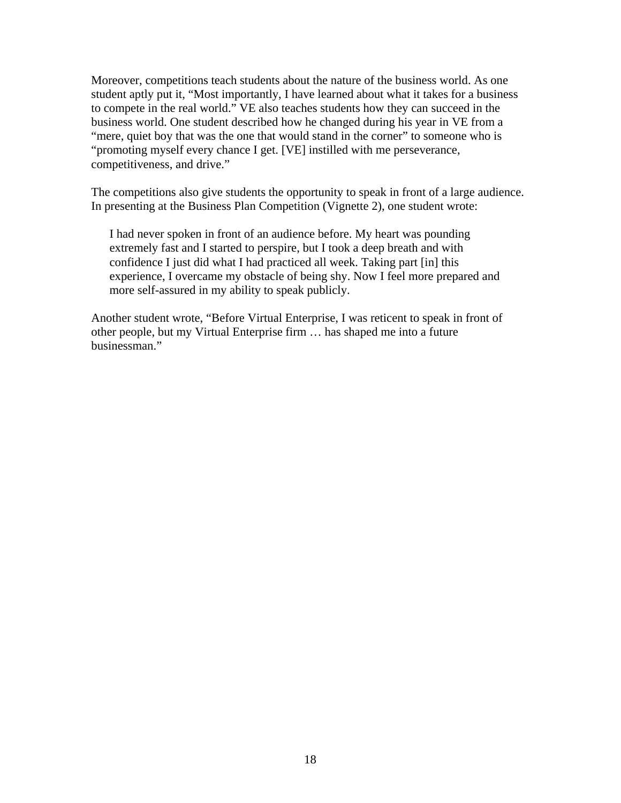Moreover, competitions teach students about the nature of the business world. As one student aptly put it, "Most importantly, I have learned about what it takes for a business to compete in the real world." VE also teaches students how they can succeed in the business world. One student described how he changed during his year in VE from a "mere, quiet boy that was the one that would stand in the corner" to someone who is "promoting myself every chance I get. [VE] instilled with me perseverance, competitiveness, and drive."

The competitions also give students the opportunity to speak in front of a large audience. In presenting at the Business Plan Competition (Vignette 2), one student wrote:

I had never spoken in front of an audience before. My heart was pounding extremely fast and I started to perspire, but I took a deep breath and with confidence I just did what I had practiced all week. Taking part [in] this experience, I overcame my obstacle of being shy. Now I feel more prepared and more self-assured in my ability to speak publicly.

Another student wrote, "Before Virtual Enterprise, I was reticent to speak in front of other people, but my Virtual Enterprise firm … has shaped me into a future businessman."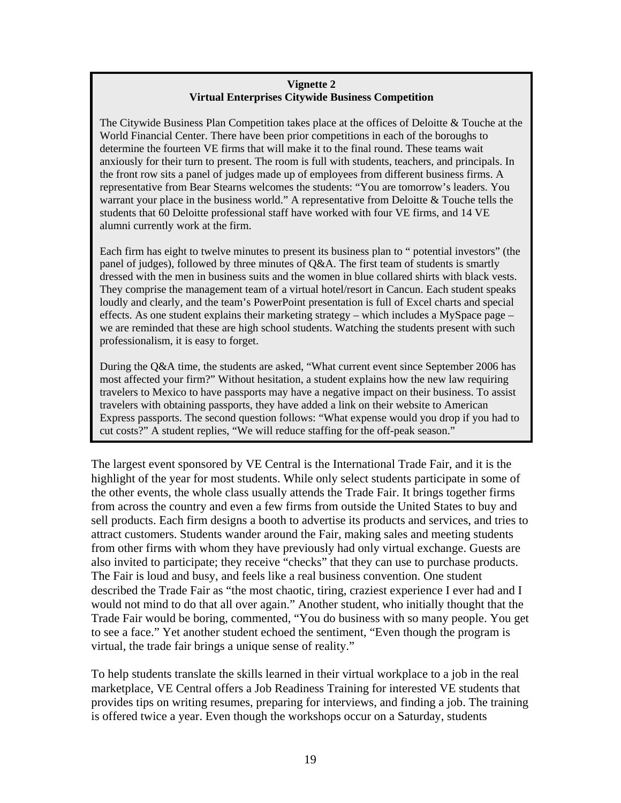## **Vignette 2 Virtual Enterprises Citywide Business Competition**

The Citywide Business Plan Competition takes place at the offices of Deloitte & Touche at the World Financial Center. There have been prior competitions in each of the boroughs to determine the fourteen VE firms that will make it to the final round. These teams wait anxiously for their turn to present. The room is full with students, teachers, and principals. In the front row sits a panel of judges made up of employees from different business firms. A representative from Bear Stearns welcomes the students: "You are tomorrow's leaders. You warrant your place in the business world." A representative from Deloitte & Touche tells the students that 60 Deloitte professional staff have worked with four VE firms, and 14 VE alumni currently work at the firm.

Each firm has eight to twelve minutes to present its business plan to " potential investors" (the panel of judges), followed by three minutes of Q&A. The first team of students is smartly dressed with the men in business suits and the women in blue collared shirts with black vests. They comprise the management team of a virtual hotel/resort in Cancun. Each student speaks loudly and clearly, and the team's PowerPoint presentation is full of Excel charts and special effects. As one student explains their marketing strategy – which includes a MySpace page – we are reminded that these are high school students. Watching the students present with such professionalism, it is easy to forget.

During the Q&A time, the students are asked, "What current event since September 2006 has most affected your firm?" Without hesitation, a student explains how the new law requiring travelers to Mexico to have passports may have a negative impact on their business. To assist travelers with obtaining passports, they have added a link on their website to American Express passports. The second question follows: "What expense would you drop if you had to cut costs?" A student replies, "We will reduce staffing for the off-peak season."

The largest event sponsored by VE Central is the International Trade Fair, and it is the highlight of the year for most students. While only select students participate in some of the other events, the whole class usually attends the Trade Fair. It brings together firms from across the country and even a few firms from outside the United States to buy and sell products. Each firm designs a booth to advertise its products and services, and tries to attract customers. Students wander around the Fair, making sales and meeting students from other firms with whom they have previously had only virtual exchange. Guests are also invited to participate; they receive "checks" that they can use to purchase products. The Fair is loud and busy, and feels like a real business convention. One student described the Trade Fair as "the most chaotic, tiring, craziest experience I ever had and I would not mind to do that all over again." Another student, who initially thought that the Trade Fair would be boring, commented, "You do business with so many people. You get to see a face." Yet another student echoed the sentiment, "Even though the program is virtual, the trade fair brings a unique sense of reality."

To help students translate the skills learned in their virtual workplace to a job in the real marketplace, VE Central offers a Job Readiness Training for interested VE students that provides tips on writing resumes, preparing for interviews, and finding a job. The training is offered twice a year. Even though the workshops occur on a Saturday, students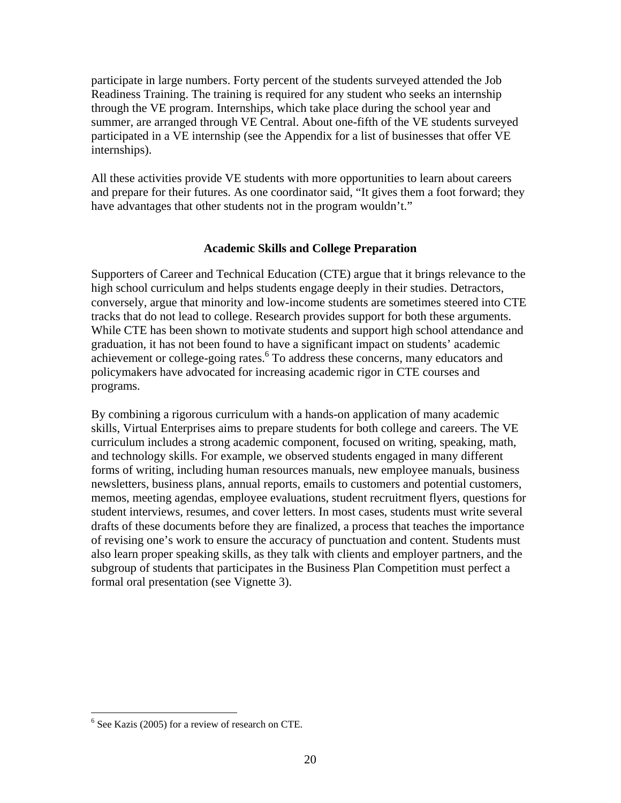participate in large numbers. Forty percent of the students surveyed attended the Job Readiness Training. The training is required for any student who seeks an internship through the VE program. Internships, which take place during the school year and summer, are arranged through VE Central. About one-fifth of the VE students surveyed participated in a VE internship (see the Appendix for a list of businesses that offer VE internships).

All these activities provide VE students with more opportunities to learn about careers and prepare for their futures. As one coordinator said, "It gives them a foot forward; they have advantages that other students not in the program wouldn't."

## **Academic Skills and College Preparation**

Supporters of Career and Technical Education (CTE) argue that it brings relevance to the high school curriculum and helps students engage deeply in their studies. Detractors, conversely, argue that minority and low-income students are sometimes steered into CTE tracks that do not lead to college. Research provides support for both these arguments. While CTE has been shown to motivate students and support high school attendance and graduation, it has not been found to have a significant impact on students' academic achievement or college-going rates.<sup>6</sup> To address these concerns, many educators and policymakers have advocated for increasing academic rigor in CTE courses and programs.

By combining a rigorous curriculum with a hands-on application of many academic skills, Virtual Enterprises aims to prepare students for both college and careers. The VE curriculum includes a strong academic component, focused on writing, speaking, math, and technology skills. For example, we observed students engaged in many different forms of writing, including human resources manuals, new employee manuals, business newsletters, business plans, annual reports, emails to customers and potential customers, memos, meeting agendas, employee evaluations, student recruitment flyers, questions for student interviews, resumes, and cover letters. In most cases, students must write several drafts of these documents before they are finalized, a process that teaches the importance of revising one's work to ensure the accuracy of punctuation and content. Students must also learn proper speaking skills, as they talk with clients and employer partners, and the subgroup of students that participates in the Business Plan Competition must perfect a formal oral presentation (see Vignette 3).

<u>.</u>

<sup>6</sup> See Kazis (2005) for a review of research on CTE.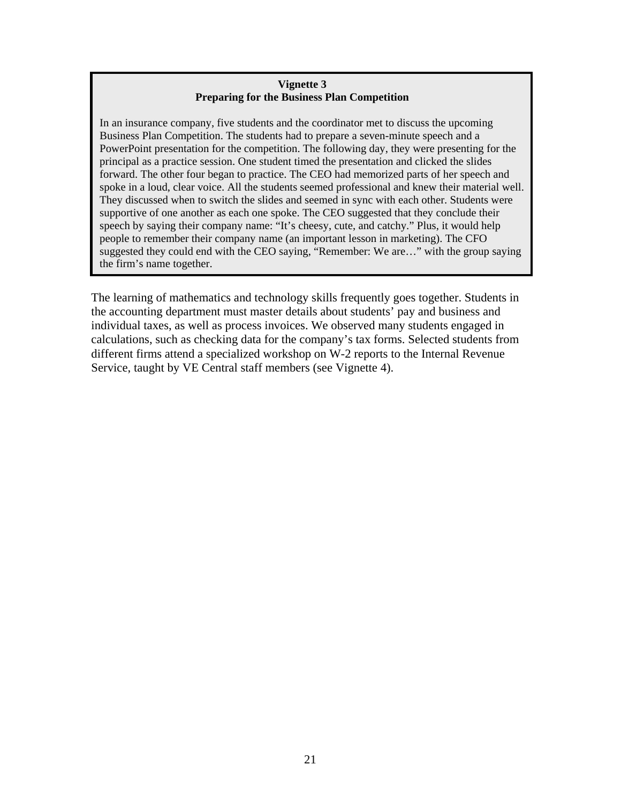## **Vignette 3 Preparing for the Business Plan Competition**

In an insurance company, five students and the coordinator met to discuss the upcoming Business Plan Competition. The students had to prepare a seven-minute speech and a PowerPoint presentation for the competition. The following day, they were presenting for the principal as a practice session. One student timed the presentation and clicked the slides forward. The other four began to practice. The CEO had memorized parts of her speech and spoke in a loud, clear voice. All the students seemed professional and knew their material well. They discussed when to switch the slides and seemed in sync with each other. Students were supportive of one another as each one spoke. The CEO suggested that they conclude their speech by saying their company name: "It's cheesy, cute, and catchy." Plus, it would help people to remember their company name (an important lesson in marketing). The CFO suggested they could end with the CEO saying, "Remember: We are…" with the group saying the firm's name together.

The learning of mathematics and technology skills frequently goes together. Students in the accounting department must master details about students' pay and business and individual taxes, as well as process invoices. We observed many students engaged in calculations, such as checking data for the company's tax forms. Selected students from different firms attend a specialized workshop on W-2 reports to the Internal Revenue Service, taught by VE Central staff members (see Vignette 4).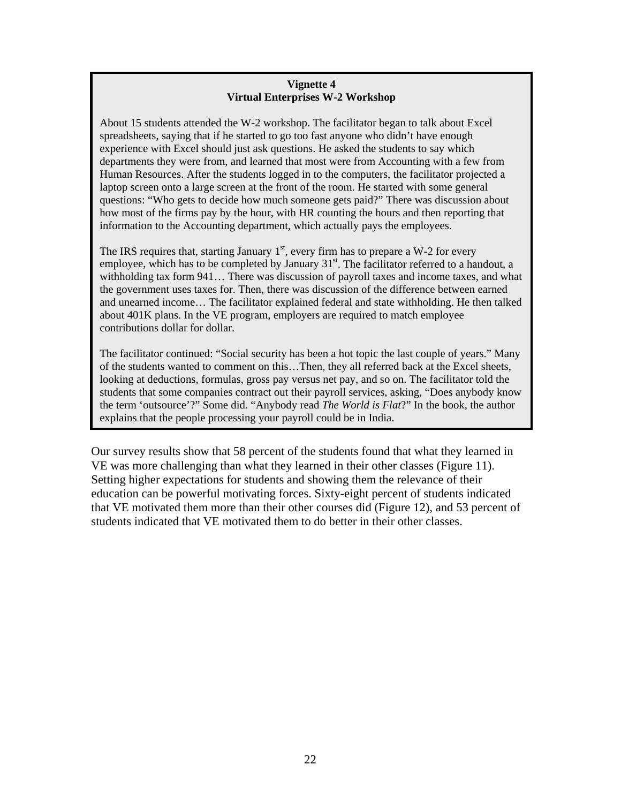## **Vignette 4 Virtual Enterprises W-2 Workshop**

About 15 students attended the W-2 workshop. The facilitator began to talk about Excel spreadsheets, saying that if he started to go too fast anyone who didn't have enough experience with Excel should just ask questions. He asked the students to say which departments they were from, and learned that most were from Accounting with a few from Human Resources. After the students logged in to the computers, the facilitator projected a laptop screen onto a large screen at the front of the room. He started with some general questions: "Who gets to decide how much someone gets paid?" There was discussion about how most of the firms pay by the hour, with HR counting the hours and then reporting that information to the Accounting department, which actually pays the employees.

The IRS requires that, starting January  $1<sup>st</sup>$ , every firm has to prepare a W-2 for every employee, which has to be completed by January  $31<sup>st</sup>$ . The facilitator referred to a handout, a withholding tax form 941… There was discussion of payroll taxes and income taxes, and what the government uses taxes for. Then, there was discussion of the difference between earned and unearned income… The facilitator explained federal and state withholding. He then talked about 401K plans. In the VE program, employers are required to match employee contributions dollar for dollar.

The facilitator continued: "Social security has been a hot topic the last couple of years." Many of the students wanted to comment on this…Then, they all referred back at the Excel sheets, looking at deductions, formulas, gross pay versus net pay, and so on. The facilitator told the students that some companies contract out their payroll services, asking, "Does anybody know the term 'outsource'?" Some did. "Anybody read *The World is Flat*?" In the book, the author explains that the people processing your payroll could be in India.

Our survey results show that 58 percent of the students found that what they learned in VE was more challenging than what they learned in their other classes (Figure 11). Setting higher expectations for students and showing them the relevance of their education can be powerful motivating forces. Sixty-eight percent of students indicated that VE motivated them more than their other courses did (Figure 12), and 53 percent of students indicated that VE motivated them to do better in their other classes.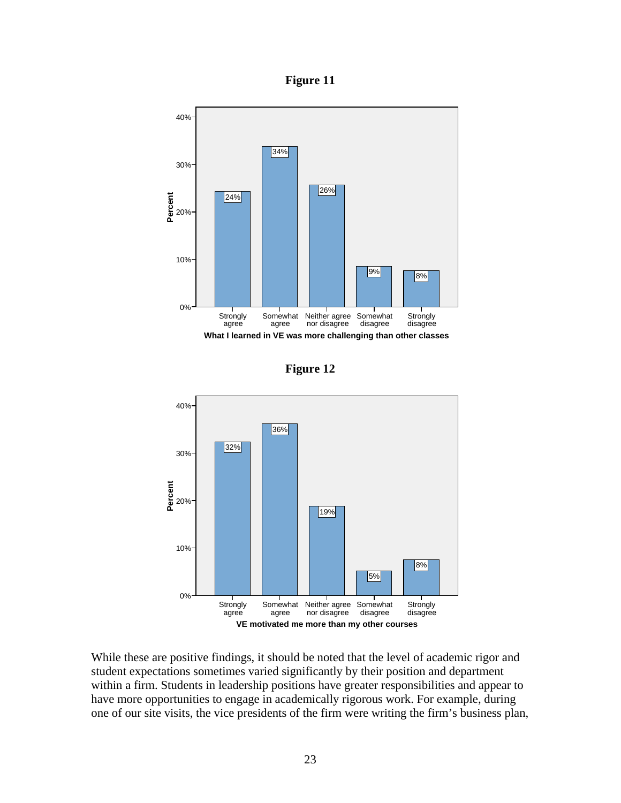**Figure 11** 



**Figure 12** 



While these are positive findings, it should be noted that the level of academic rigor and student expectations sometimes varied significantly by their position and department within a firm. Students in leadership positions have greater responsibilities and appear to have more opportunities to engage in academically rigorous work. For example, during one of our site visits, the vice presidents of the firm were writing the firm's business plan,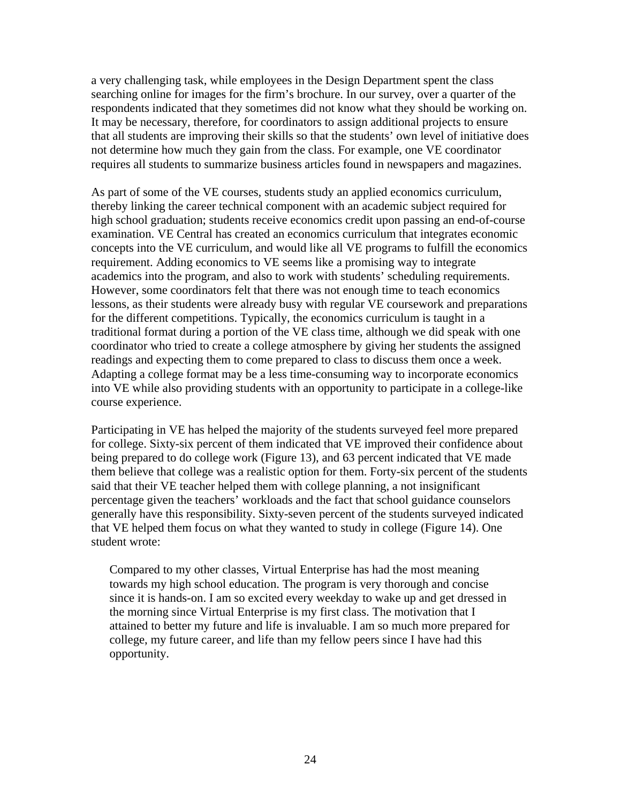a very challenging task, while employees in the Design Department spent the class searching online for images for the firm's brochure. In our survey, over a quarter of the respondents indicated that they sometimes did not know what they should be working on. It may be necessary, therefore, for coordinators to assign additional projects to ensure that all students are improving their skills so that the students' own level of initiative does not determine how much they gain from the class. For example, one VE coordinator requires all students to summarize business articles found in newspapers and magazines.

As part of some of the VE courses, students study an applied economics curriculum, thereby linking the career technical component with an academic subject required for high school graduation; students receive economics credit upon passing an end-of-course examination. VE Central has created an economics curriculum that integrates economic concepts into the VE curriculum, and would like all VE programs to fulfill the economics requirement. Adding economics to VE seems like a promising way to integrate academics into the program, and also to work with students' scheduling requirements. However, some coordinators felt that there was not enough time to teach economics lessons, as their students were already busy with regular VE coursework and preparations for the different competitions. Typically, the economics curriculum is taught in a traditional format during a portion of the VE class time, although we did speak with one coordinator who tried to create a college atmosphere by giving her students the assigned readings and expecting them to come prepared to class to discuss them once a week. Adapting a college format may be a less time-consuming way to incorporate economics into VE while also providing students with an opportunity to participate in a college-like course experience.

Participating in VE has helped the majority of the students surveyed feel more prepared for college. Sixty-six percent of them indicated that VE improved their confidence about being prepared to do college work (Figure 13), and 63 percent indicated that VE made them believe that college was a realistic option for them. Forty-six percent of the students said that their VE teacher helped them with college planning, a not insignificant percentage given the teachers' workloads and the fact that school guidance counselors generally have this responsibility. Sixty-seven percent of the students surveyed indicated that VE helped them focus on what they wanted to study in college (Figure 14). One student wrote:

Compared to my other classes, Virtual Enterprise has had the most meaning towards my high school education. The program is very thorough and concise since it is hands-on. I am so excited every weekday to wake up and get dressed in the morning since Virtual Enterprise is my first class. The motivation that I attained to better my future and life is invaluable. I am so much more prepared for college, my future career, and life than my fellow peers since I have had this opportunity.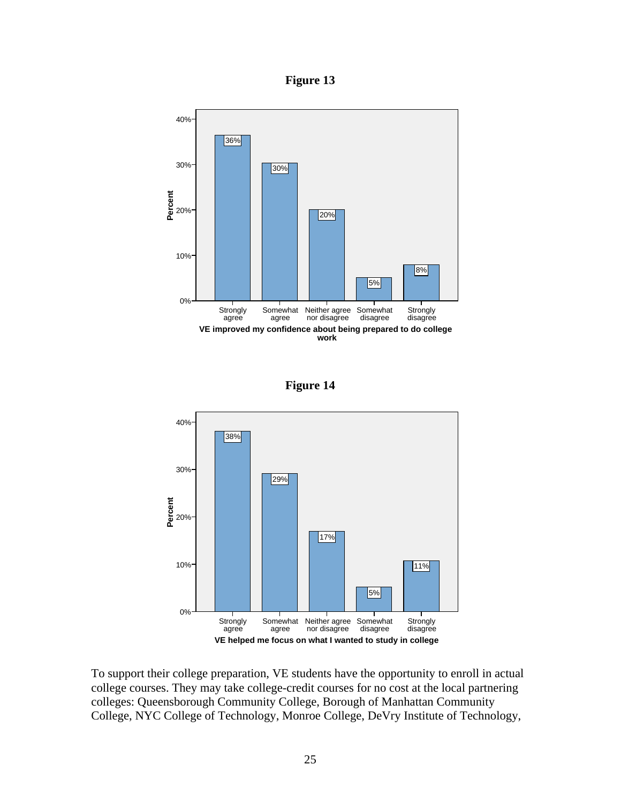**Figure 13**







To support their college preparation, VE students have the opportunity to enroll in actual college courses. They may take college-credit courses for no cost at the local partnering colleges: Queensborough Community College, Borough of Manhattan Community College, NYC College of Technology, Monroe College, DeVry Institute of Technology,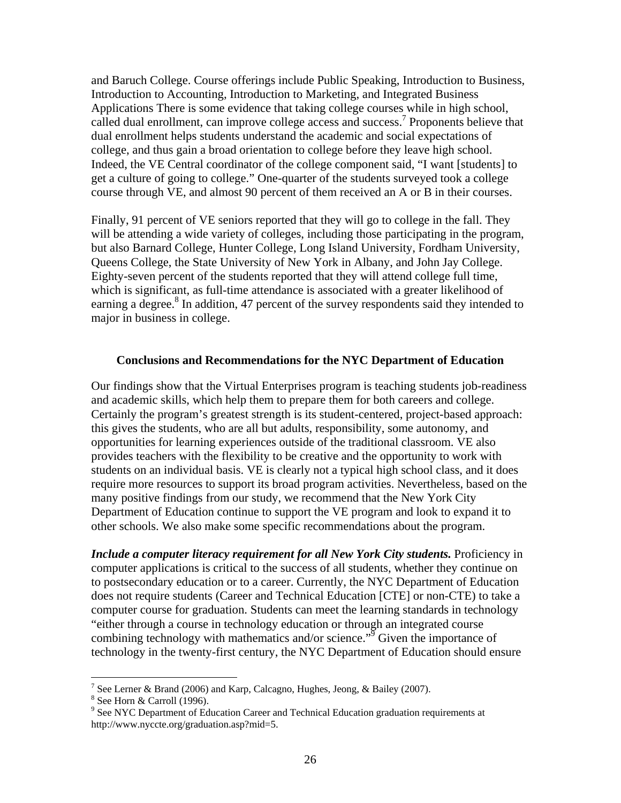and Baruch College. Course offerings include Public Speaking, Introduction to Business, Introduction to Accounting, Introduction to Marketing, and Integrated Business Applications There is some evidence that taking college courses while in high school, called dual enrollment, can improve college access and success.<sup>7</sup> Proponents believe that dual enrollment helps students understand the academic and social expectations of college, and thus gain a broad orientation to college before they leave high school. Indeed, the VE Central coordinator of the college component said, "I want [students] to get a culture of going to college." One-quarter of the students surveyed took a college course through VE, and almost 90 percent of them received an A or B in their courses.

Finally, 91 percent of VE seniors reported that they will go to college in the fall. They will be attending a wide variety of colleges, including those participating in the program, but also Barnard College, Hunter College, Long Island University, Fordham University, Queens College, the State University of New York in Albany, and John Jay College. Eighty-seven percent of the students reported that they will attend college full time, which is significant, as full-time attendance is associated with a greater likelihood of earning a degree.<sup>8</sup> In addition, 47 percent of the survey respondents said they intended to major in business in college.

#### **Conclusions and Recommendations for the NYC Department of Education**

Our findings show that the Virtual Enterprises program is teaching students job-readiness and academic skills, which help them to prepare them for both careers and college. Certainly the program's greatest strength is its student-centered, project-based approach: this gives the students, who are all but adults, responsibility, some autonomy, and opportunities for learning experiences outside of the traditional classroom. VE also provides teachers with the flexibility to be creative and the opportunity to work with students on an individual basis. VE is clearly not a typical high school class, and it does require more resources to support its broad program activities. Nevertheless, based on the many positive findings from our study, we recommend that the New York City Department of Education continue to support the VE program and look to expand it to other schools. We also make some specific recommendations about the program.

*Include a computer literacy requirement for all New York City students.* Proficiency in computer applications is critical to the success of all students, whether they continue on to postsecondary education or to a career. Currently, the NYC Department of Education does not require students (Career and Technical Education [CTE] or non-CTE) to take a computer course for graduation. Students can meet the learning standards in technology "either through a course in technology education or through an integrated course combining technology with mathematics and/or science."<sup>9</sup> Given the importance of technology in the twenty-first century, the NYC Department of Education should ensure

<sup>&</sup>lt;sup>7</sup> See Lerner & Brand (2006) and Karp, Calcagno, Hughes, Jeong, & Bailey (2007).

<sup>8</sup> See Horn & Carroll (1996).

<sup>&</sup>lt;sup>9</sup> See NYC Department of Education Career and Technical Education graduation requirements at http://www.nyccte.org/graduation.asp?mid=5.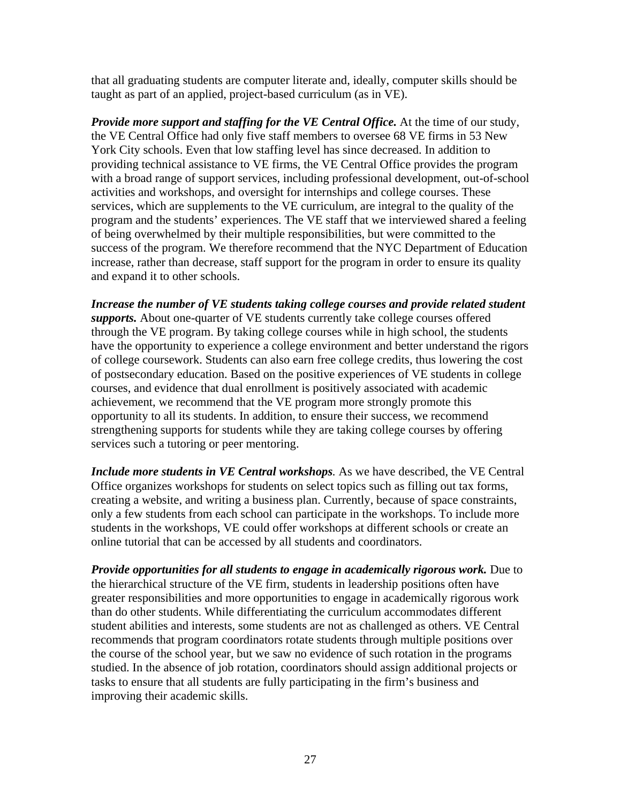that all graduating students are computer literate and, ideally, computer skills should be taught as part of an applied, project-based curriculum (as in VE).

*Provide more support and staffing for the VE Central Office.* At the time of our study, the VE Central Office had only five staff members to oversee 68 VE firms in 53 New York City schools. Even that low staffing level has since decreased. In addition to providing technical assistance to VE firms, the VE Central Office provides the program with a broad range of support services, including professional development, out-of-school activities and workshops, and oversight for internships and college courses. These services, which are supplements to the VE curriculum, are integral to the quality of the program and the students' experiences. The VE staff that we interviewed shared a feeling of being overwhelmed by their multiple responsibilities, but were committed to the success of the program. We therefore recommend that the NYC Department of Education increase, rather than decrease, staff support for the program in order to ensure its quality and expand it to other schools.

*Increase the number of VE students taking college courses and provide related student supports.* About one-quarter of VE students currently take college courses offered through the VE program. By taking college courses while in high school, the students have the opportunity to experience a college environment and better understand the rigors of college coursework. Students can also earn free college credits, thus lowering the cost of postsecondary education. Based on the positive experiences of VE students in college courses, and evidence that dual enrollment is positively associated with academic achievement, we recommend that the VE program more strongly promote this opportunity to all its students. In addition, to ensure their success, we recommend strengthening supports for students while they are taking college courses by offering services such a tutoring or peer mentoring.

*Include more students in VE Central workshops.* As we have described, the VE Central Office organizes workshops for students on select topics such as filling out tax forms, creating a website, and writing a business plan. Currently, because of space constraints, only a few students from each school can participate in the workshops. To include more students in the workshops, VE could offer workshops at different schools or create an online tutorial that can be accessed by all students and coordinators.

*Provide opportunities for all students to engage in academically rigorous work.* Due to the hierarchical structure of the VE firm, students in leadership positions often have greater responsibilities and more opportunities to engage in academically rigorous work than do other students. While differentiating the curriculum accommodates different student abilities and interests, some students are not as challenged as others. VE Central recommends that program coordinators rotate students through multiple positions over the course of the school year, but we saw no evidence of such rotation in the programs studied. In the absence of job rotation, coordinators should assign additional projects or tasks to ensure that all students are fully participating in the firm's business and improving their academic skills.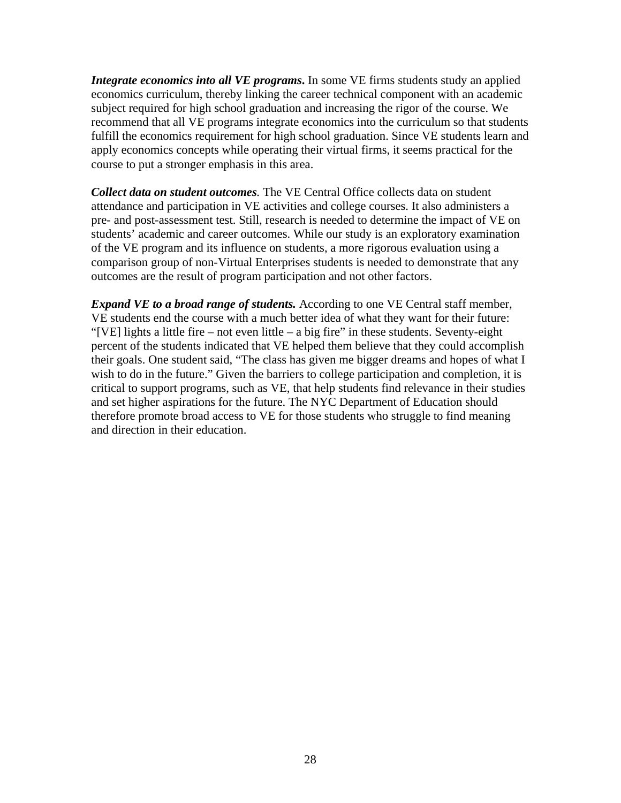*Integrate economics into all VE programs***.** In some VE firms students study an applied economics curriculum, thereby linking the career technical component with an academic subject required for high school graduation and increasing the rigor of the course. We recommend that all VE programs integrate economics into the curriculum so that students fulfill the economics requirement for high school graduation. Since VE students learn and apply economics concepts while operating their virtual firms, it seems practical for the course to put a stronger emphasis in this area.

*Collect data on student outcomes.* The VE Central Office collects data on student attendance and participation in VE activities and college courses. It also administers a pre- and post-assessment test. Still, research is needed to determine the impact of VE on students' academic and career outcomes. While our study is an exploratory examination of the VE program and its influence on students, a more rigorous evaluation using a comparison group of non-Virtual Enterprises students is needed to demonstrate that any outcomes are the result of program participation and not other factors.

*Expand VE to a broad range of students.* According to one VE Central staff member, VE students end the course with a much better idea of what they want for their future: "[VE] lights a little fire – not even little – a big fire" in these students. Seventy-eight percent of the students indicated that VE helped them believe that they could accomplish their goals. One student said, "The class has given me bigger dreams and hopes of what I wish to do in the future." Given the barriers to college participation and completion, it is critical to support programs, such as VE, that help students find relevance in their studies and set higher aspirations for the future. The NYC Department of Education should therefore promote broad access to VE for those students who struggle to find meaning and direction in their education.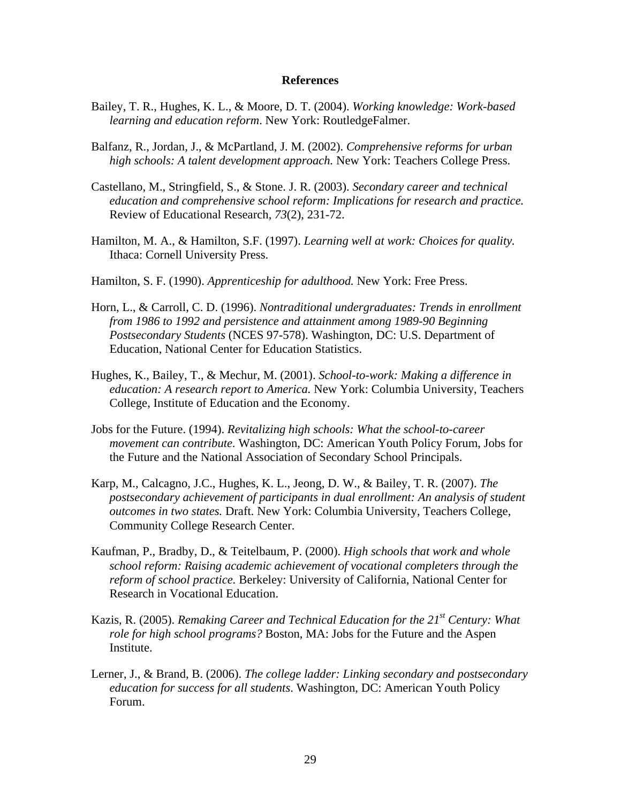#### **References**

- Bailey, T. R., Hughes, K. L., & Moore, D. T. (2004). *Working knowledge: Work-based learning and education reform*. New York: RoutledgeFalmer.
- Balfanz, R., Jordan, J., & McPartland, J. M. (2002). *Comprehensive reforms for urban high schools: A talent development approach.* New York: Teachers College Press.
- Castellano, M., Stringfield, S., & Stone. J. R. (2003). *Secondary career and technical education and comprehensive school reform: Implications for research and practice.* Review of Educational Research, *73*(2), 231-72.
- Hamilton, M. A., & Hamilton, S.F. (1997). *Learning well at work: Choices for quality.* Ithaca: Cornell University Press.
- Hamilton, S. F. (1990). *Apprenticeship for adulthood.* New York: Free Press.
- Horn, L., & Carroll, C. D. (1996). *Nontraditional undergraduates: Trends in enrollment from 1986 to 1992 and persistence and attainment among 1989-90 Beginning Postsecondary Students* (NCES 97-578). Washington, DC: U.S. Department of Education, National Center for Education Statistics.
- Hughes, K., Bailey, T., & Mechur, M. (2001). *School-to-work: Making a difference in education: A research report to America.* New York: Columbia University, Teachers College, Institute of Education and the Economy.
- Jobs for the Future. (1994). *Revitalizing high schools: What the school-to-career movement can contribute.* Washington, DC: American Youth Policy Forum, Jobs for the Future and the National Association of Secondary School Principals.
- Karp, M., Calcagno, J.C., Hughes, K. L., Jeong, D. W., & Bailey, T. R. (2007). *The postsecondary achievement of participants in dual enrollment: An analysis of student outcomes in two states.* Draft. New York: Columbia University, Teachers College, Community College Research Center.
- Kaufman, P., Bradby, D., & Teitelbaum, P. (2000). *High schools that work and whole school reform: Raising academic achievement of vocational completers through the reform of school practice.* Berkeley: University of California, National Center for Research in Vocational Education.
- Kazis, R. (2005). *Remaking Career and Technical Education for the 21st Century: What role for high school programs?* Boston, MA: Jobs for the Future and the Aspen Institute.
- Lerner, J., & Brand, B. (2006). *The college ladder: Linking secondary and postsecondary education for success for all students*. Washington, DC: American Youth Policy Forum.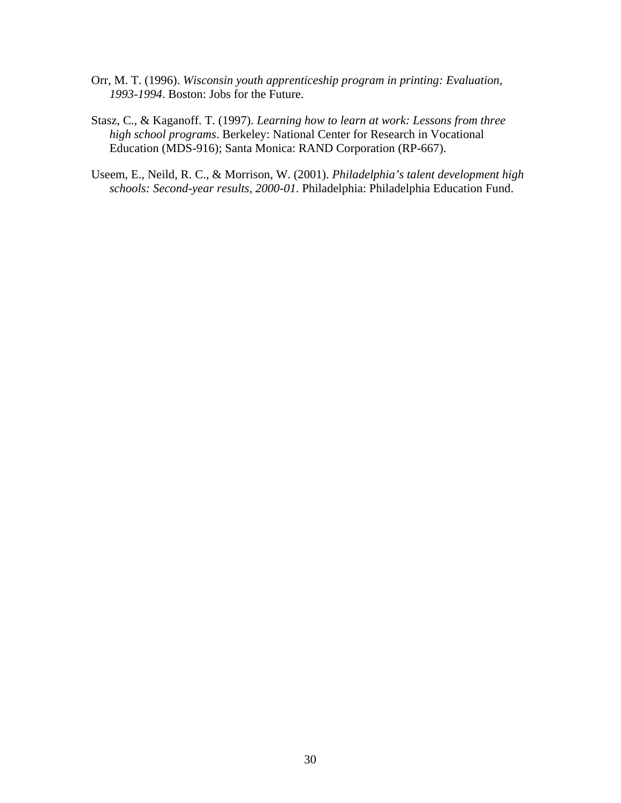- Orr, M. T. (1996). *Wisconsin youth apprenticeship program in printing: Evaluation, 1993-1994*. Boston: Jobs for the Future.
- Stasz, C., & Kaganoff. T. (1997). *Learning how to learn at work: Lessons from three high school programs*. Berkeley: National Center for Research in Vocational Education (MDS-916); Santa Monica: RAND Corporation (RP-667).
- Useem, E., Neild, R. C., & Morrison, W. (2001). *Philadelphia's talent development high schools: Second-year results, 2000-01*. Philadelphia: Philadelphia Education Fund.